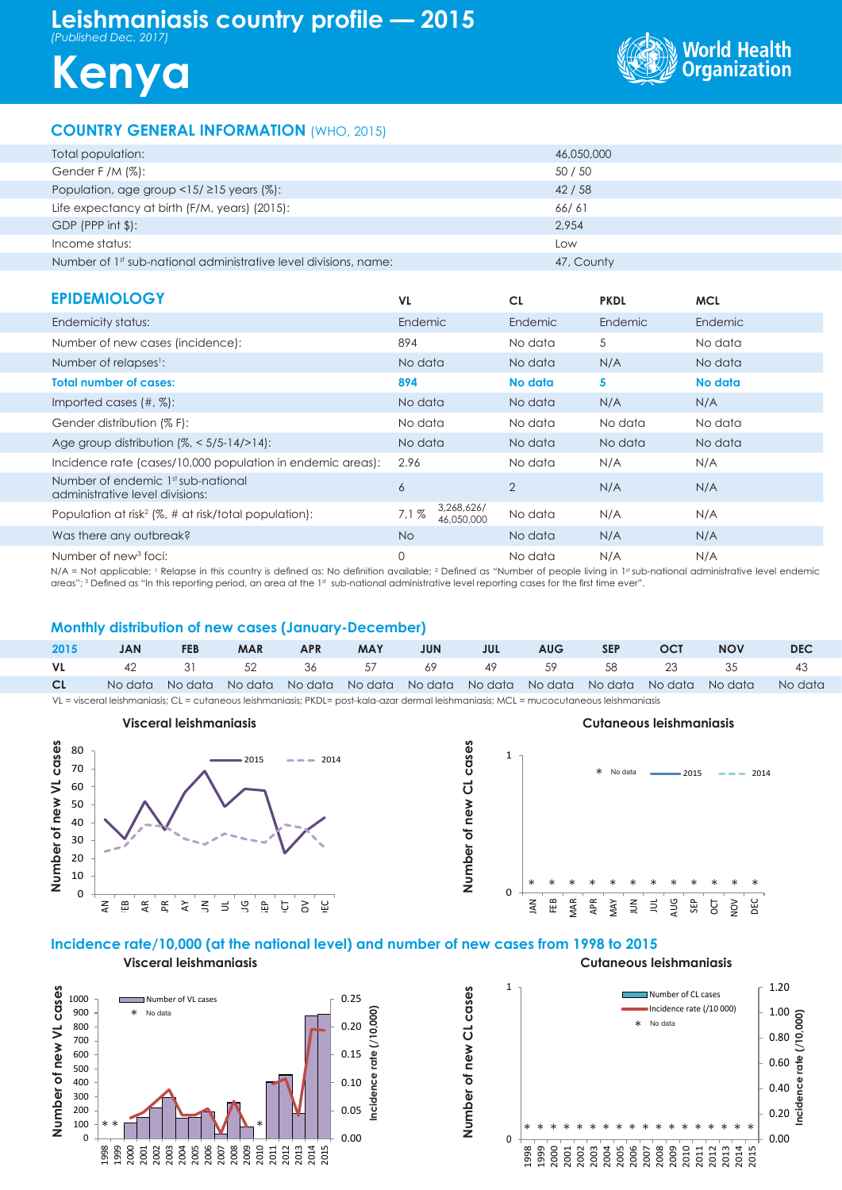# **Leishmaniasis country profile — 2015** *(Published Dec. 2017)*





# **COUNTRY GENERAL INFORMATION** (WHO, 2015)

| Total population:                                                            | 46,050,000 |
|------------------------------------------------------------------------------|------------|
| Gender F /M $(\%)$ :                                                         | 50 / 50    |
| Population, age group <15/ $\geq$ 15 years (%):                              | 42/58      |
| Life expectancy at birth (F/M, years) (2015):                                | 66/61      |
| $GDP$ (PPP int $\frac{1}{2}$ ):                                              | 2.954      |
| Income status:                                                               | Low        |
| Number of 1 <sup>st</sup> sub-national administrative level divisions, name: | 47, County |

| <b>EPIDEMIOLOGY</b>                                                   | VL.                              | <b>CL</b>      | <b>PKDL</b>    | <b>MCL</b> |
|-----------------------------------------------------------------------|----------------------------------|----------------|----------------|------------|
| Endemicity status:                                                    | Endemic                          | <b>Endemic</b> | <b>Endemic</b> | Endemic    |
| Number of new cases (incidence):                                      | 894                              | No data        | 5              | No data    |
| Number of relapses <sup>1</sup> :                                     | No data                          | No data        | N/A            | No data    |
| <b>Total number of cases:</b>                                         | 894                              | No data        | 5              | No data    |
| Imported cases $(\#$ , $\%)$ :                                        | No data                          | No data        | N/A            | N/A        |
| Gender distribution (% F):                                            | No data                          | No data        | No data        | No data    |
| Age group distribution $\frac{1}{6}$ < 5/5-14/>14):                   | No data                          | No data        | No data        | No data    |
| Incidence rate (cases/10,000 population in endemic areas):            | 2.96                             | No data        | N/A            | N/A        |
| Number of endemic 1st sub-national<br>administrative level divisions: | 6                                | 2              | N/A            | N/A        |
| Population at risk <sup>2</sup> (%, # at risk/total population):      | 3,268,626/<br>7.1%<br>46,050,000 | No data        | N/A            | N/A        |
| Was there any outbreak?                                               | <b>No</b>                        | No data        | N/A            | N/A        |
| Number of new <sup>3</sup> foci:                                      | 0                                | No data        | N/A            | N/A        |

N/A = Not applicable; 1 Relapse in this country is defined as: No definition available; 2 Defined as "Number of people living in 1st sub-national administrative level endemic areas"; 3 Defined as "In this reporting period, an area at the 1st sub-national administrative level reporting cases for the first time ever".

# **Monthly distribution of new cases (January-December)**

| 2015 | <b>JAN</b> | <b>FEB</b> | <b>MAR</b> | <b>APR</b> |  | MAY JUN JUL | AUG | <b>SEP</b> | OCT | <b>NOV</b>                                    | <b>DEC</b>                                                                                      |
|------|------------|------------|------------|------------|--|-------------|-----|------------|-----|-----------------------------------------------|-------------------------------------------------------------------------------------------------|
|      |            |            |            |            |  |             |     |            |     | <b>VL</b> 42 31 52 36 57 69 49 59 58 23 35 43 |                                                                                                 |
| CL   |            |            |            |            |  |             |     |            |     |                                               | No data No data No data No data No data No data No data No data No data No data No data No data |

1

**Number of new CL cases**

VL = visceral leishmaniasis; CL = cutaneous leishmaniasis; PKDL= post-kala-azar dermal leishmaniasis; MCL = mucocutaneous leishmaniasis



# $2015 = -2014$ No data



# **Incidence rate/10,000 (at the national level) and number of new cases from 1998 to 2015**

**Visceral leishmaniasis**